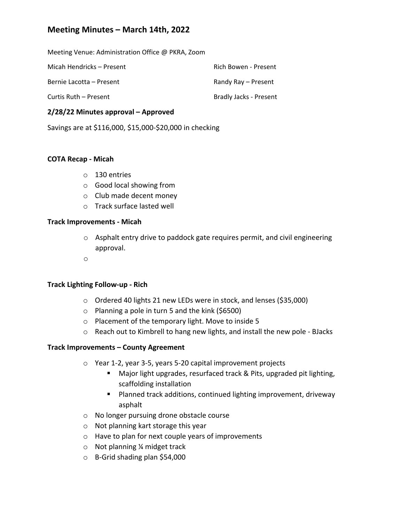# **Meeting Minutes – March 14th, 2022**

Meeting Venue: Administration Office @ PKRA, Zoom

| Micah Hendricks – Present | Rich Bowen - Present   |
|---------------------------|------------------------|
| Bernie Lacotta – Present  | Randy Ray – Present    |
| Curtis Ruth – Present     | Bradly Jacks - Present |

### **2/28/22 Minutes approval – Approved**

Savings are at \$116,000, \$15,000‐\$20,000 in checking

#### **COTA Recap ‐ Micah**

- o 130 entries
- o Good local showing from
- o Club made decent money
- o Track surface lasted well

#### **Track Improvements ‐ Micah**

- o Asphalt entry drive to paddock gate requires permit, and civil engineering approval.
- o

### **Track Lighting Follow‐up ‐ Rich**

- o Ordered 40 lights 21 new LEDs were in stock, and lenses (\$35,000)
- o Planning a pole in turn 5 and the kink (\$6500)
- o Placement of the temporary light. Move to inside 5
- o Reach out to Kimbrell to hang new lights, and install the new pole ‐ BJacks

### **Track Improvements – County Agreement**

- o Year 1‐2, year 3‐5, years 5‐20 capital improvement projects
	- Major light upgrades, resurfaced track & Pits, upgraded pit lighting, scaffolding installation
	- Planned track additions, continued lighting improvement, driveway asphalt
- o No longer pursuing drone obstacle course
- o Not planning kart storage this year
- o Have to plan for next couple years of improvements
- o Not planning ¼ midget track
- o B‐Grid shading plan \$54,000